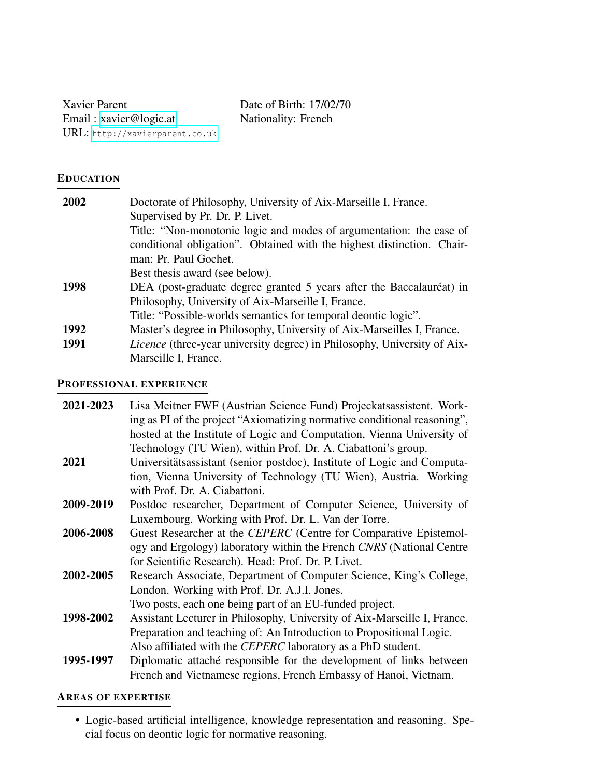Xavier Parent Date of Birth: 17/02/70<br>Email: xavier@logic.at Nationality: French Email: [xavier@logic.at](mailto:xavier@logic.at) URL: <http://xavierparent.co.uk>

## EDUCATION

| Doctorate of Philosophy, University of Aix-Marseille I, France.                 |  |  |  |  |  |
|---------------------------------------------------------------------------------|--|--|--|--|--|
| Supervised by Pr. Dr. P. Livet.                                                 |  |  |  |  |  |
| Title: "Non-monotonic logic and modes of argumentation: the case of             |  |  |  |  |  |
| conditional obligation". Obtained with the highest distinction. Chair-          |  |  |  |  |  |
| man: Pr. Paul Gochet.                                                           |  |  |  |  |  |
| Best thesis award (see below).                                                  |  |  |  |  |  |
| DEA (post-graduate degree granted 5 years after the Baccalauréat) in            |  |  |  |  |  |
| Philosophy, University of Aix-Marseille I, France.                              |  |  |  |  |  |
| Title: "Possible-worlds semantics for temporal deontic logic".                  |  |  |  |  |  |
| Master's degree in Philosophy, University of Aix-Marseilles I, France.          |  |  |  |  |  |
| <i>Licence</i> (three-year university degree) in Philosophy, University of Aix- |  |  |  |  |  |
| Marseille I, France.                                                            |  |  |  |  |  |
|                                                                                 |  |  |  |  |  |

## PROFESSIONAL EXPERIENCE

| 2021-2023 | Lisa Meitner FWF (Austrian Science Fund) Projeckatsassistent. Work-<br>ing as PI of the project "Axiomatizing normative conditional reasoning", |  |  |  |  |  |  |
|-----------|-------------------------------------------------------------------------------------------------------------------------------------------------|--|--|--|--|--|--|
|           |                                                                                                                                                 |  |  |  |  |  |  |
|           | hosted at the Institute of Logic and Computation, Vienna University of                                                                          |  |  |  |  |  |  |
|           | Technology (TU Wien), within Prof. Dr. A. Ciabattoni's group.                                                                                   |  |  |  |  |  |  |
| 2021      | Universitätsassistant (senior postdoc), Institute of Logic and Computa-                                                                         |  |  |  |  |  |  |
|           | tion, Vienna University of Technology (TU Wien), Austria. Working                                                                               |  |  |  |  |  |  |
|           | with Prof. Dr. A. Ciabattoni.                                                                                                                   |  |  |  |  |  |  |
| 2009-2019 | Postdoc researcher, Department of Computer Science, University of                                                                               |  |  |  |  |  |  |
|           | Luxembourg. Working with Prof. Dr. L. Van der Torre.                                                                                            |  |  |  |  |  |  |
| 2006-2008 | Guest Researcher at the <i>CEPERC</i> (Centre for Comparative Epistemol-                                                                        |  |  |  |  |  |  |
|           | ogy and Ergology) laboratory within the French CNRS (National Centre                                                                            |  |  |  |  |  |  |
|           | for Scientific Research). Head: Prof. Dr. P. Livet.                                                                                             |  |  |  |  |  |  |
| 2002-2005 | Research Associate, Department of Computer Science, King's College,                                                                             |  |  |  |  |  |  |
|           | London. Working with Prof. Dr. A.J.I. Jones.                                                                                                    |  |  |  |  |  |  |
|           | Two posts, each one being part of an EU-funded project.                                                                                         |  |  |  |  |  |  |
| 1998-2002 | Assistant Lecturer in Philosophy, University of Aix-Marseille I, France.                                                                        |  |  |  |  |  |  |
|           | Preparation and teaching of: An Introduction to Propositional Logic.                                                                            |  |  |  |  |  |  |
|           | Also affiliated with the <i>CEPERC</i> laboratory as a PhD student.                                                                             |  |  |  |  |  |  |
| 1995-1997 | Diplomatic attaché responsible for the development of links between                                                                             |  |  |  |  |  |  |
|           | French and Vietnamese regions, French Embassy of Hanoi, Vietnam.                                                                                |  |  |  |  |  |  |

#### AREAS OF EXPERTISE

• Logic-based artificial intelligence, knowledge representation and reasoning. Special focus on deontic logic for normative reasoning.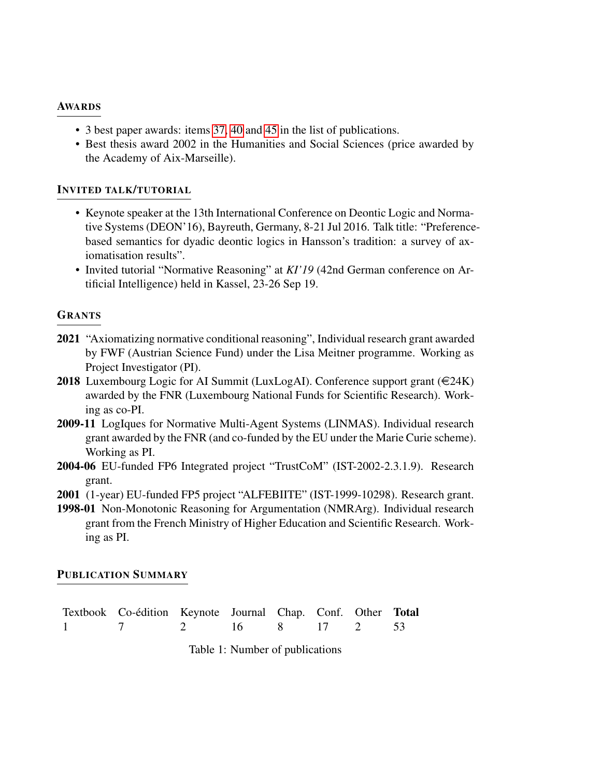#### AWARDS

- 3 best paper awards: items [37,](#page-7-0) [40](#page-7-1) and [45](#page-8-0) in the list of publications.
- Best thesis award 2002 in the Humanities and Social Sciences (price awarded by the Academy of Aix-Marseille).

#### INVITED TALK/TUTORIAL

- Keynote speaker at the 13th International Conference on Deontic Logic and Normative Systems (DEON'16), Bayreuth, Germany, 8-21 Jul 2016. Talk title: "Preferencebased semantics for dyadic deontic logics in Hansson's tradition: a survey of axiomatisation results".
- Invited tutorial "Normative Reasoning" at *KI'19* (42nd German conference on Artificial Intelligence) held in Kassel, 23-26 Sep 19.

#### **GRANTS**

- 2021 "Axiomatizing normative conditional reasoning", Individual research grant awarded by FWF (Austrian Science Fund) under the Lisa Meitner programme. Working as Project Investigator (PI).
- 2018 Luxembourg Logic for AI Summit (LuxLogAI). Conference support grant  $(\text{E24K})$ awarded by the FNR (Luxembourg National Funds for Scientific Research). Working as co-PI.
- 2009-11 LogIques for Normative Multi-Agent Systems (LINMAS). Individual research grant awarded by the FNR (and co-funded by the EU under the Marie Curie scheme). Working as PI.
- 2004-06 EU-funded FP6 Integrated project "TrustCoM" (IST-2002-2.3.1.9). Research grant.
- 2001 (1-year) EU-funded FP5 project "ALFEBIITE" (IST-1999-10298). Research grant.
- 1998-01 Non-Monotonic Reasoning for Argumentation (NMRArg). Individual research grant from the French Ministry of Higher Education and Scientific Research. Working as PI.

#### PUBLICATION SUMMARY

| Textbook Co-édition Keynote Journal Chap. Conf. Other Total |  |  |  |
|-------------------------------------------------------------|--|--|--|
| 7 2 16 8 17 2 53                                            |  |  |  |

Table 1: Number of publications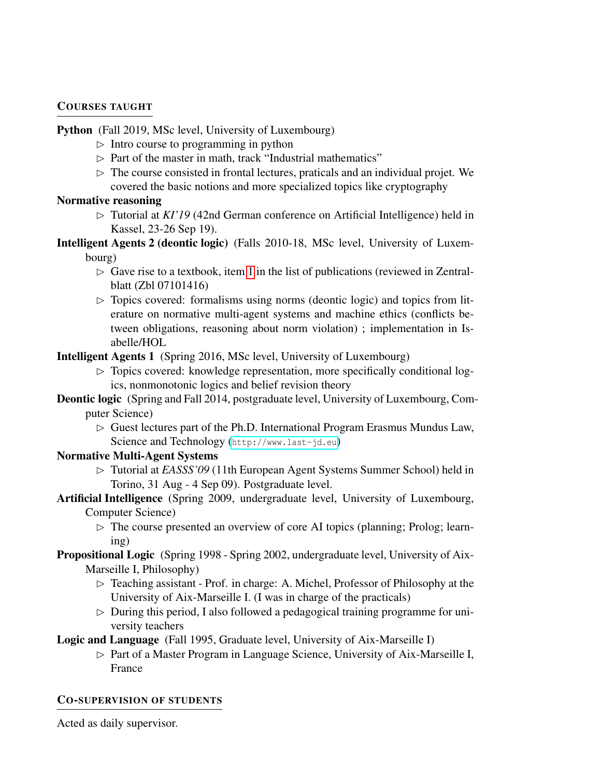#### COURSES TAUGHT

Python (Fall 2019, MSc level, University of Luxembourg)

- $\triangleright$  Intro course to programming in python
- $\triangleright$  Part of the master in math, track "Industrial mathematics"
- $\triangleright$  The course consisted in frontal lectures, praticals and an individual projet. We covered the basic notions and more specialized topics like cryptography

# Normative reasoning

- $\triangleright$  Tutorial at *KI'19* (42nd German conference on Artificial Intelligence) held in Kassel, 23-26 Sep 19).
- Intelligent Agents 2 (deontic logic) (Falls 2010-18, MSc level, University of Luxembourg)
	- $\triangleright$  Gave rise to a textbook, item [1](#page-5-0) in the list of publications (reviewed in Zentralblatt (Zbl 07101416)
	- $\triangleright$  Topics covered: formalisms using norms (deontic logic) and topics from literature on normative multi-agent systems and machine ethics (conflicts between obligations, reasoning about norm violation) ; implementation in Isabelle/HOL

Intelligent Agents 1 (Spring 2016, MSc level, University of Luxembourg)

- $\triangleright$  Topics covered: knowledge representation, more specifically conditional logics, nonmonotonic logics and belief revision theory
- Deontic logic (Spring and Fall 2014, postgraduate level, University of Luxembourg, Computer Science)
	- $\triangleright$  Guest lectures part of the Ph.D. International Program Erasmus Mundus Law, Science and Technology (<http://www.last-jd.eu>)

# Normative Multi-Agent Systems

- B Tutorial at *EASSS'09* (11th European Agent Systems Summer School) held in Torino, 31 Aug - 4 Sep 09). Postgraduate level.
- Artificial Intelligence (Spring 2009, undergraduate level, University of Luxembourg, Computer Science)
	- $\triangleright$  The course presented an overview of core AI topics (planning; Prolog; learning)
- Propositional Logic (Spring 1998 Spring 2002, undergraduate level, University of Aix-Marseille I, Philosophy)
	- $\triangleright$  Teaching assistant Prof. in charge: A. Michel, Professor of Philosophy at the University of Aix-Marseille I. (I was in charge of the practicals)
	- $\triangleright$  During this period, I also followed a pedagogical training programme for university teachers

Logic and Language (Fall 1995, Graduate level, University of Aix-Marseille I)

 $\triangleright$  Part of a Master Program in Language Science, University of Aix-Marseille I, France

# CO-SUPERVISION OF STUDENTS

Acted as daily supervisor.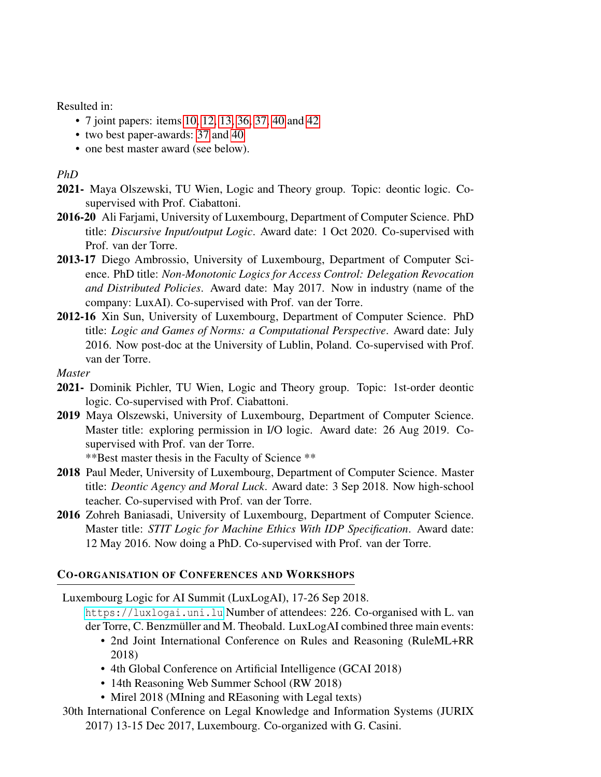Resulted in:

- 7 joint papers: items [10,](#page-5-1) [12,](#page-6-0) [13,](#page-6-1) [36,](#page-7-2) [37,](#page-7-0) [40](#page-7-1) and [42](#page-8-1)
- two best paper-awards: [37](#page-7-0) and [40](#page-7-1)
- one best master award (see below).

## *PhD*

- 2021- Maya Olszewski, TU Wien, Logic and Theory group. Topic: deontic logic. Cosupervised with Prof. Ciabattoni.
- 2016-20 Ali Farjami, University of Luxembourg, Department of Computer Science. PhD title: *Discursive Input/output Logic*. Award date: 1 Oct 2020. Co-supervised with Prof. van der Torre.
- 2013-17 Diego Ambrossio, University of Luxembourg, Department of Computer Science. PhD title: *Non-Monotonic Logics for Access Control: Delegation Revocation and Distributed Policies*. Award date: May 2017. Now in industry (name of the company: LuxAI). Co-supervised with Prof. van der Torre.
- 2012-16 Xin Sun, University of Luxembourg, Department of Computer Science. PhD title: *Logic and Games of Norms: a Computational Perspective*. Award date: July 2016. Now post-doc at the University of Lublin, Poland. Co-supervised with Prof. van der Torre.
- *Master*
- 2021- Dominik Pichler, TU Wien, Logic and Theory group. Topic: 1st-order deontic logic. Co-supervised with Prof. Ciabattoni.
- 2019 Maya Olszewski, University of Luxembourg, Department of Computer Science. Master title: exploring permission in I/O logic. Award date: 26 Aug 2019. Cosupervised with Prof. van der Torre.

\*\*Best master thesis in the Faculty of Science \*\*

- 2018 Paul Meder, University of Luxembourg, Department of Computer Science. Master title: *Deontic Agency and Moral Luck*. Award date: 3 Sep 2018. Now high-school teacher. Co-supervised with Prof. van der Torre.
- 2016 Zohreh Baniasadi, University of Luxembourg, Department of Computer Science. Master title: *STIT Logic for Machine Ethics With IDP Specification*. Award date: 12 May 2016. Now doing a PhD. Co-supervised with Prof. van der Torre.

#### CO-ORGANISATION OF CONFERENCES AND WORKSHOPS

Luxembourg Logic for AI Summit (LuxLogAI), 17-26 Sep 2018.

- <https://luxlogai.uni.lu> Number of attendees: 226. Co-organised with L. van der Torre, C. Benzmüller and M. Theobald. LuxLogAI combined three main events:
	- 2nd Joint International Conference on Rules and Reasoning (RuleML+RR 2018)
	- 4th Global Conference on Artificial Intelligence (GCAI 2018)
	- 14th Reasoning Web Summer School (RW 2018)
	- Mirel 2018 (MIning and REasoning with Legal texts)
- 30th International Conference on Legal Knowledge and Information Systems (JURIX 2017) 13-15 Dec 2017, Luxembourg. Co-organized with G. Casini.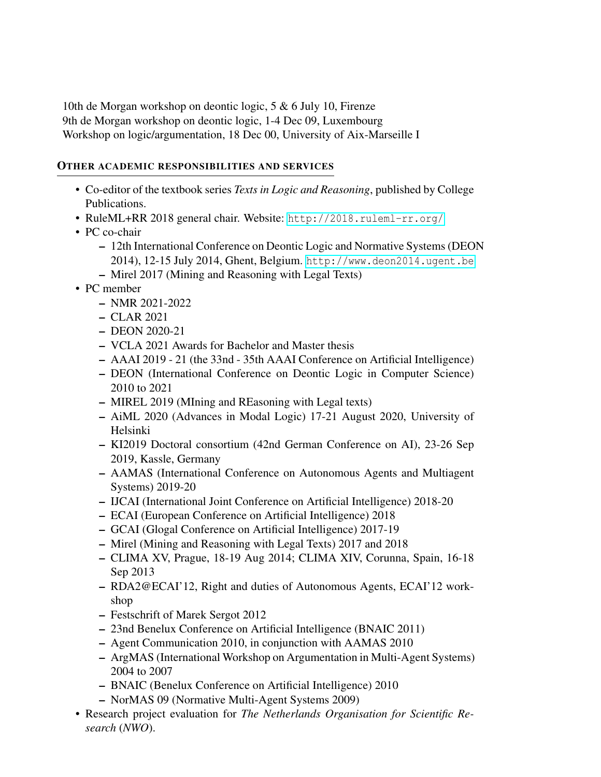10th de Morgan workshop on deontic logic, 5 & 6 July 10, Firenze 9th de Morgan workshop on deontic logic, 1-4 Dec 09, Luxembourg Workshop on logic/argumentation, 18 Dec 00, University of Aix-Marseille I

#### OTHER ACADEMIC RESPONSIBILITIES AND SERVICES

- Co-editor of the textbook series *Texts in Logic and Reasoning*, published by College Publications.
- RuleML+RR 2018 general chair. Website: <http://2018.ruleml-rr.org/>
- PC co-chair
	- 12th International Conference on Deontic Logic and Normative Systems (DEON 2014), 12-15 July 2014, Ghent, Belgium. <http://www.deon2014.ugent.be>
	- Mirel 2017 (Mining and Reasoning with Legal Texts)
- PC member
	- NMR 2021-2022
	- CLAR 2021
	- DEON 2020-21
	- VCLA 2021 Awards for Bachelor and Master thesis
	- AAAI 2019 21 (the 33nd 35th AAAI Conference on Artificial Intelligence)
	- DEON (International Conference on Deontic Logic in Computer Science) 2010 to 2021
	- MIREL 2019 (MIning and REasoning with Legal texts)
	- AiML 2020 (Advances in Modal Logic) 17-21 August 2020, University of Helsinki
	- KI2019 Doctoral consortium (42nd German Conference on AI), 23-26 Sep 2019, Kassle, Germany
	- AAMAS (International Conference on Autonomous Agents and Multiagent Systems) 2019-20
	- IJCAI (International Joint Conference on Artificial Intelligence) 2018-20
	- ECAI (European Conference on Artificial Intelligence) 2018
	- GCAI (Glogal Conference on Artificial Intelligence) 2017-19
	- Mirel (Mining and Reasoning with Legal Texts) 2017 and 2018
	- CLIMA XV, Prague, 18-19 Aug 2014; CLIMA XIV, Corunna, Spain, 16-18 Sep 2013
	- RDA2@ECAI'12, Right and duties of Autonomous Agents, ECAI'12 workshop
	- Festschrift of Marek Sergot 2012
	- 23nd Benelux Conference on Artificial Intelligence (BNAIC 2011)
	- Agent Communication 2010, in conjunction with AAMAS 2010
	- ArgMAS (International Workshop on Argumentation in Multi-Agent Systems) 2004 to 2007
	- BNAIC (Benelux Conference on Artificial Intelligence) 2010
	- NorMAS 09 (Normative Multi-Agent Systems 2009)
- Research project evaluation for *The Netherlands Organisation for Scientific Research* (*NWO*).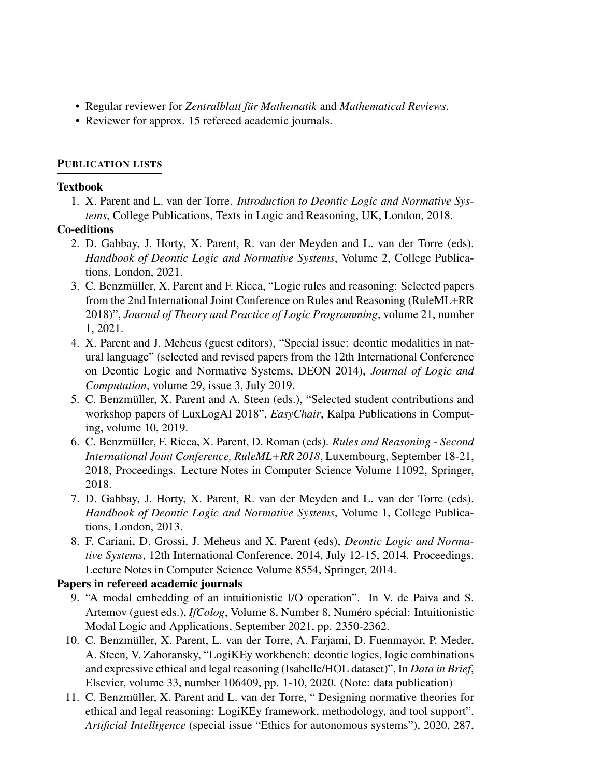- Regular reviewer for *Zentralblatt für Mathematik* and *Mathematical Reviews*.
- Reviewer for approx. 15 refereed academic journals.

#### PUBLICATION LISTS

#### <span id="page-5-0"></span>**Textbook**

1. X. Parent and L. van der Torre. *Introduction to Deontic Logic and Normative Systems*, College Publications, Texts in Logic and Reasoning, UK, London, 2018.

## Co-editions

- 2. D. Gabbay, J. Horty, X. Parent, R. van der Meyden and L. van der Torre (eds). *Handbook of Deontic Logic and Normative Systems*, Volume 2, College Publications, London, 2021.
- 3. C. Benzmüller, X. Parent and F. Ricca, "Logic rules and reasoning: Selected papers from the 2nd International Joint Conference on Rules and Reasoning (RuleML+RR 2018)", *Journal of Theory and Practice of Logic Programming*, volume 21, number 1, 2021.
- 4. X. Parent and J. Meheus (guest editors), "Special issue: deontic modalities in natural language" (selected and revised papers from the 12th International Conference on Deontic Logic and Normative Systems, DEON 2014), *Journal of Logic and Computation*, volume 29, issue 3, July 2019.
- 5. C. Benzmüller, X. Parent and A. Steen (eds.), "Selected student contributions and workshop papers of LuxLogAI 2018", *EasyChair*, Kalpa Publications in Computing, volume 10, 2019.
- 6. C. Benzmüller, F. Ricca, X. Parent, D. Roman (eds). *Rules and Reasoning Second International Joint Conference, RuleML+RR 2018*, Luxembourg, September 18-21, 2018, Proceedings. Lecture Notes in Computer Science Volume 11092, Springer, 2018.
- 7. D. Gabbay, J. Horty, X. Parent, R. van der Meyden and L. van der Torre (eds). *Handbook of Deontic Logic and Normative Systems*, Volume 1, College Publications, London, 2013.
- 8. F. Cariani, D. Grossi, J. Meheus and X. Parent (eds), *Deontic Logic and Normative Systems*, 12th International Conference, 2014, July 12-15, 2014. Proceedings. Lecture Notes in Computer Science Volume 8554, Springer, 2014.

#### Papers in refereed academic journals

- 9. "A modal embedding of an intuitionistic I/O operation". In V. de Paiva and S. Artemov (guest eds.), *IfColog*, Volume 8, Number 8, Numéro spécial: Intuitionistic Modal Logic and Applications, September 2021, pp. 2350-2362.
- <span id="page-5-1"></span>10. C. Benzmüller, X. Parent, L. van der Torre, A. Farjami, D. Fuenmayor, P. Meder, A. Steen, V. Zahoransky, "LogiKEy workbench: deontic logics, logic combinations and expressive ethical and legal reasoning (Isabelle/HOL dataset)", In *Data in Brief*, Elsevier, volume 33, number 106409, pp. 1-10, 2020. (Note: data publication)
- 11. C. Benzmüller, X. Parent and L. van der Torre, "Designing normative theories for ethical and legal reasoning: LogiKEy framework, methodology, and tool support". *Artificial Intelligence* (special issue "Ethics for autonomous systems"), 2020, 287,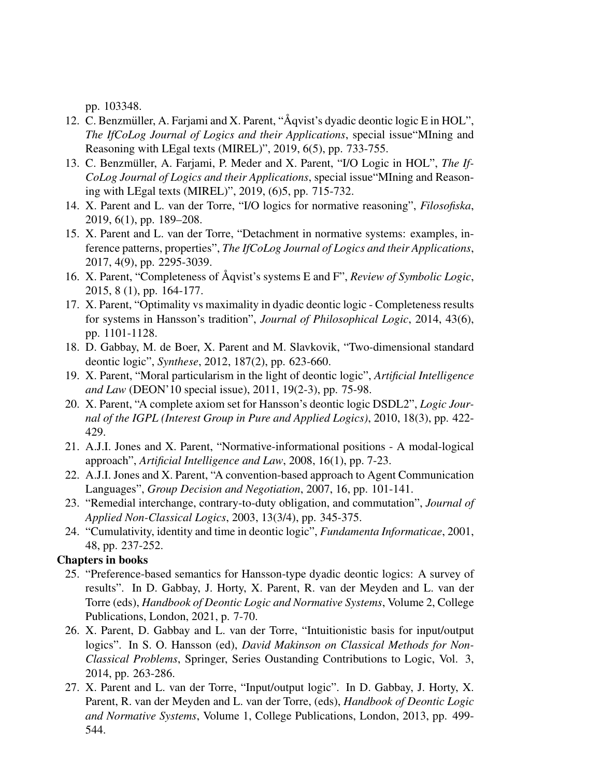pp. 103348.

- <span id="page-6-0"></span>12. C. Benzmüller, A. Farjami and X. Parent, "Åqvist's dyadic deontic logic  $E$  in  $HOL$ ", *The IfCoLog Journal of Logics and their Applications*, special issue"MIning and Reasoning with LEgal texts (MIREL)", 2019, 6(5), pp. 733-755.
- <span id="page-6-1"></span>13. C. Benzmüller, A. Farjami, P. Meder and X. Parent, "I/O Logic in HOL", *The If-CoLog Journal of Logics and their Applications*, special issue"MIning and Reasoning with LEgal texts (MIREL)", 2019, (6)5, pp. 715-732.
- 14. X. Parent and L. van der Torre, "I/O logics for normative reasoning", *Filosofiska*, 2019, 6(1), pp. 189–208.
- 15. X. Parent and L. van der Torre, "Detachment in normative systems: examples, inference patterns, properties", *The IfCoLog Journal of Logics and their Applications*, 2017, 4(9), pp. 2295-3039.
- 16. X. Parent, "Completeness of Åqvist's systems E and F", *Review of Symbolic Logic*, 2015, 8 (1), pp. 164-177.
- 17. X. Parent, "Optimality vs maximality in dyadic deontic logic Completeness results for systems in Hansson's tradition", *Journal of Philosophical Logic*, 2014, 43(6), pp. 1101-1128.
- 18. D. Gabbay, M. de Boer, X. Parent and M. Slavkovik, "Two-dimensional standard deontic logic", *Synthese*, 2012, 187(2), pp. 623-660.
- 19. X. Parent, "Moral particularism in the light of deontic logic", *Artificial Intelligence and Law* (DEON'10 special issue), 2011, 19(2-3), pp. 75-98.
- 20. X. Parent, "A complete axiom set for Hansson's deontic logic DSDL2", *Logic Journal of the IGPL (Interest Group in Pure and Applied Logics)*, 2010, 18(3), pp. 422- 429.
- 21. A.J.I. Jones and X. Parent, "Normative-informational positions A modal-logical approach", *Artificial Intelligence and Law*, 2008, 16(1), pp. 7-23.
- 22. A.J.I. Jones and X. Parent, "A convention-based approach to Agent Communication Languages", *Group Decision and Negotiation*, 2007, 16, pp. 101-141.
- 23. "Remedial interchange, contrary-to-duty obligation, and commutation", *Journal of Applied Non-Classical Logics*, 2003, 13(3/4), pp. 345-375.
- 24. "Cumulativity, identity and time in deontic logic", *Fundamenta Informaticae*, 2001, 48, pp. 237-252.

#### Chapters in books

- 25. "Preference-based semantics for Hansson-type dyadic deontic logics: A survey of results". In D. Gabbay, J. Horty, X. Parent, R. van der Meyden and L. van der Torre (eds), *Handbook of Deontic Logic and Normative Systems*, Volume 2, College Publications, London, 2021, p. 7-70.
- 26. X. Parent, D. Gabbay and L. van der Torre, "Intuitionistic basis for input/output logics". In S. O. Hansson (ed), *David Makinson on Classical Methods for Non-Classical Problems*, Springer, Series Oustanding Contributions to Logic, Vol. 3, 2014, pp. 263-286.
- 27. X. Parent and L. van der Torre, "Input/output logic". In D. Gabbay, J. Horty, X. Parent, R. van der Meyden and L. van der Torre, (eds), *Handbook of Deontic Logic and Normative Systems*, Volume 1, College Publications, London, 2013, pp. 499- 544.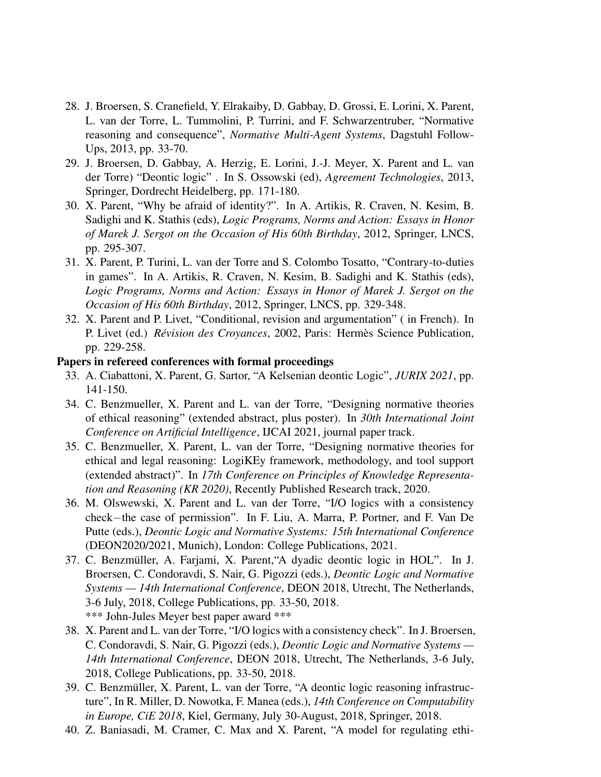- 28. J. Broersen, S. Cranefield, Y. Elrakaiby, D. Gabbay, D. Grossi, E. Lorini, X. Parent, L. van der Torre, L. Tummolini, P. Turrini, and F. Schwarzentruber, "Normative reasoning and consequence", *Normative Multi-Agent Systems*, Dagstuhl Follow-Ups, 2013, pp. 33-70.
- 29. J. Broersen, D. Gabbay, A. Herzig, E. Lorini, J.-J. Meyer, X. Parent and L. van der Torre) "Deontic logic" . In S. Ossowski (ed), *Agreement Technologies*, 2013, Springer, Dordrecht Heidelberg, pp. 171-180.
- 30. X. Parent, "Why be afraid of identity?". In A. Artikis, R. Craven, N. Kesim, B. Sadighi and K. Stathis (eds), *Logic Programs, Norms and Action: Essays in Honor of Marek J. Sergot on the Occasion of His 60th Birthday*, 2012, Springer, LNCS, pp. 295-307.
- 31. X. Parent, P. Turini, L. van der Torre and S. Colombo Tosatto, "Contrary-to-duties in games". In A. Artikis, R. Craven, N. Kesim, B. Sadighi and K. Stathis (eds), *Logic Programs, Norms and Action: Essays in Honor of Marek J. Sergot on the Occasion of His 60th Birthday*, 2012, Springer, LNCS, pp. 329-348.
- 32. X. Parent and P. Livet, "Conditional, revision and argumentation" ( in French). In P. Livet (ed.) *Révision des Croyances*, 2002, Paris: Hermès Science Publication, pp. 229-258.

#### Papers in refereed conferences with formal proceedings

- 33. A. Ciabattoni, X. Parent, G. Sartor, "A Kelsenian deontic Logic", *JURIX 2021*, pp. 141-150.
- 34. C. Benzmueller, X. Parent and L. van der Torre, "Designing normative theories of ethical reasoning" (extended abstract, plus poster). In *30th International Joint Conference on Artificial Intelligence*, IJCAI 2021, journal paper track.
- 35. C. Benzmueller, X. Parent, L. van der Torre, "Designing normative theories for ethical and legal reasoning: LogiKEy framework, methodology, and tool support (extended abstract)". In *17th Conference on Principles of Knowledge Representation and Reasoning (KR 2020)*, Recently Published Research track, 2020.
- <span id="page-7-2"></span>36. M. Olswewski, X. Parent and L. van der Torre, "I/O logics with a consistency check−the case of permission". In F. Liu, A. Marra, P. Portner, and F. Van De Putte (eds.), *Deontic Logic and Normative Systems: 15th International Conference* (DEON2020/2021, Munich), London: College Publications, 2021.
- <span id="page-7-0"></span>37. C. Benzmüller, A. Farjami, X. Parent, "A dyadic deontic logic in HOL". In J. Broersen, C. Condoravdi, S. Nair, G. Pigozzi (eds.), *Deontic Logic and Normative Systems — 14th International Conference*, DEON 2018, Utrecht, The Netherlands, 3-6 July, 2018, College Publications, pp. 33-50, 2018. \*\*\* John-Jules Meyer best paper award \*\*\*
- 38. X. Parent and L. van der Torre, "I/O logics with a consistency check". In J. Broersen, C. Condoravdi, S. Nair, G. Pigozzi (eds.), *Deontic Logic and Normative Systems — 14th International Conference*, DEON 2018, Utrecht, The Netherlands, 3-6 July, 2018, College Publications, pp. 33-50, 2018.
- 39. C. Benzmüller, X. Parent, L. van der Torre, "A deontic logic reasoning infrastructure", In R. Miller, D. Nowotka, F. Manea (eds.), *14th Conference on Computability in Europe, CiE 2018*, Kiel, Germany, July 30-August, 2018, Springer, 2018.
- <span id="page-7-1"></span>40. Z. Baniasadi, M. Cramer, C. Max and X. Parent, "A model for regulating ethi-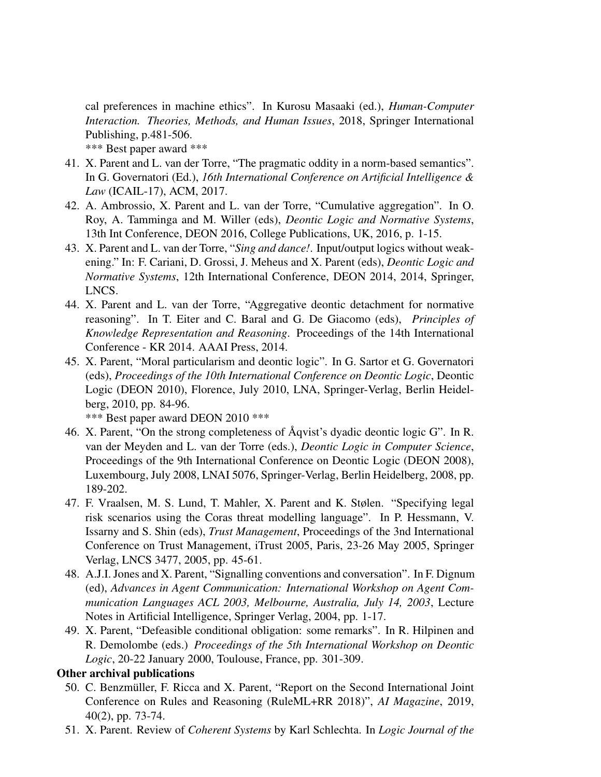cal preferences in machine ethics". In Kurosu Masaaki (ed.), *Human-Computer Interaction. Theories, Methods, and Human Issues*, 2018, Springer International Publishing, p.481-506.

\*\*\* Best paper award \*\*\*

- 41. X. Parent and L. van der Torre, "The pragmatic oddity in a norm-based semantics". In G. Governatori (Ed.), *16th International Conference on Artificial Intelligence & Law* (ICAIL-17), ACM, 2017.
- <span id="page-8-1"></span>42. A. Ambrossio, X. Parent and L. van der Torre, "Cumulative aggregation". In O. Roy, A. Tamminga and M. Willer (eds), *Deontic Logic and Normative Systems*, 13th Int Conference, DEON 2016, College Publications, UK, 2016, p. 1-15.
- 43. X. Parent and L. van der Torre, "*Sing and dance!*. Input/output logics without weakening." In: F. Cariani, D. Grossi, J. Meheus and X. Parent (eds), *Deontic Logic and Normative Systems*, 12th International Conference, DEON 2014, 2014, Springer, LNCS.
- 44. X. Parent and L. van der Torre, "Aggregative deontic detachment for normative reasoning". In T. Eiter and C. Baral and G. De Giacomo (eds), *Principles of Knowledge Representation and Reasoning*. Proceedings of the 14th International Conference - KR 2014. AAAI Press, 2014.
- <span id="page-8-0"></span>45. X. Parent, "Moral particularism and deontic logic". In G. Sartor et G. Governatori (eds), *Proceedings of the 10th International Conference on Deontic Logic*, Deontic Logic (DEON 2010), Florence, July 2010, LNA, Springer-Verlag, Berlin Heidelberg, 2010, pp. 84-96.

\*\*\* Best paper award DEON 2010 \*\*\*

- 46. X. Parent, "On the strong completeness of Åqvist's dyadic deontic logic G". In R. van der Meyden and L. van der Torre (eds.), *Deontic Logic in Computer Science*, Proceedings of the 9th International Conference on Deontic Logic (DEON 2008), Luxembourg, July 2008, LNAI 5076, Springer-Verlag, Berlin Heidelberg, 2008, pp. 189-202.
- 47. F. Vraalsen, M. S. Lund, T. Mahler, X. Parent and K. Stølen. "Specifying legal risk scenarios using the Coras threat modelling language". In P. Hessmann, V. Issarny and S. Shin (eds), *Trust Management*, Proceedings of the 3nd International Conference on Trust Management, iTrust 2005, Paris, 23-26 May 2005, Springer Verlag, LNCS 3477, 2005, pp. 45-61.
- 48. A.J.I. Jones and X. Parent, "Signalling conventions and conversation". In F. Dignum (ed), *Advances in Agent Communication: International Workshop on Agent Communication Languages ACL 2003, Melbourne, Australia, July 14, 2003*, Lecture Notes in Artificial Intelligence, Springer Verlag, 2004, pp. 1-17.
- 49. X. Parent, "Defeasible conditional obligation: some remarks". In R. Hilpinen and R. Demolombe (eds.) *Proceedings of the 5th International Workshop on Deontic Logic*, 20-22 January 2000, Toulouse, France, pp. 301-309.

#### Other archival publications

- 50. C. Benzmüller, F. Ricca and X. Parent, "Report on the Second International Joint Conference on Rules and Reasoning (RuleML+RR 2018)", *AI Magazine*, 2019, 40(2), pp. 73-74.
- 51. X. Parent. Review of *Coherent Systems* by Karl Schlechta. In *Logic Journal of the*